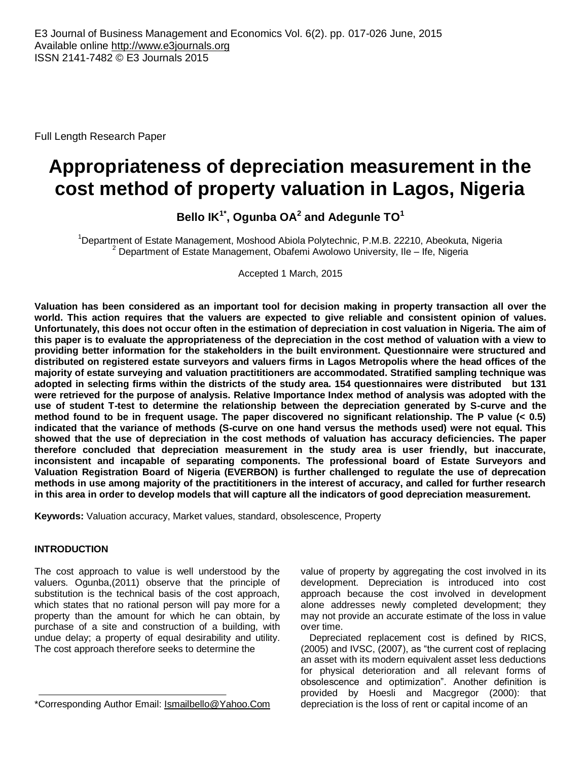Full Length Research Paper

# **Appropriateness of depreciation measurement in the cost method of property valuation in Lagos, Nigeria**

**Bello IK1\* , Ogunba OA<sup>2</sup> and Adegunle TO<sup>1</sup>**

<sup>1</sup>Department of Estate Management, Moshood Abiola Polytechnic, P.M.B. 22210, Abeokuta, Nigeria  $2$  Department of Estate Management, Obafemi Awolowo University, Ile – Ife, Nigeria

Accepted 1 March, 2015

**Valuation has been considered as an important tool for decision making in property transaction all over the world. This action requires that the valuers are expected to give reliable and consistent opinion of values. Unfortunately, this does not occur often in the estimation of depreciation in cost valuation in Nigeria. The aim of this paper is to evaluate the appropriateness of the depreciation in the cost method of valuation with a view to providing better information for the stakeholders in the built environment. Questionnaire were structured and distributed on registered estate surveyors and valuers firms in Lagos Metropolis where the head offices of the majority of estate surveying and valuation practititioners are accommodated. Stratified sampling technique was adopted in selecting firms within the districts of the study area. 154 questionnaires were distributed but 131 were retrieved for the purpose of analysis. Relative Importance Index method of analysis was adopted with the use of student T-test to determine the relationship between the depreciation generated by S-curve and the method found to be in frequent usage. The paper discovered no significant relationship. The P value (< 0.5) indicated that the variance of methods (S-curve on one hand versus the methods used) were not equal. This showed that the use of depreciation in the cost methods of valuation has accuracy deficiencies. The paper therefore concluded that depreciation measurement in the study area is user friendly, but inaccurate, inconsistent and incapable of separating components. The professional board of Estate Surveyors and Valuation Registration Board of Nigeria (EVERBON) is further challenged to regulate the use of deprecation methods in use among majority of the practititioners in the interest of accuracy, and called for further research in this area in order to develop models that will capture all the indicators of good depreciation measurement.** 

**Keywords:** Valuation accuracy, Market values, standard, obsolescence, Property

# **INTRODUCTION**

The cost approach to value is well understood by the valuers. Ogunba,(2011) observe that the principle of substitution is the technical basis of the cost approach, which states that no rational person will pay more for a property than the amount for which he can obtain, by purchase of a site and construction of a building, with undue delay; a property of equal desirability and utility. The cost approach therefore seeks to determine the

value of property by aggregating the cost involved in its development. Depreciation is introduced into cost approach because the cost involved in development alone addresses newly completed development; they may not provide an accurate estimate of the loss in value over time.

Depreciated replacement cost is defined by RICS, (2005) and IVSC, (2007), as "the current cost of replacing an asset with its modern equivalent asset less deductions for physical deterioration and all relevant forms of obsolescence and optimization". Another definition is provided by Hoesli and Macgregor (2000): that depreciation is the loss of rent or capital income of an

<sup>\*</sup>Corresponding Author Email: [Ismailbello@Yahoo.Com](mailto:ismailbello@yahoo.com)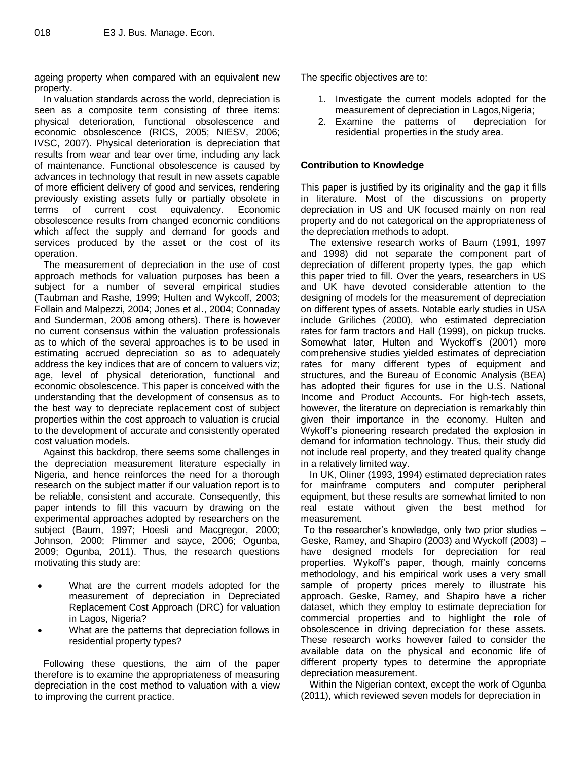ageing property when compared with an equivalent new property.

In valuation standards across the world, depreciation is seen as a composite term consisting of three items: physical deterioration, functional obsolescence and economic obsolescence (RICS, 2005; NIESV, 2006; IVSC, 2007). Physical deterioration is depreciation that results from wear and tear over time, including any lack of maintenance. Functional obsolescence is caused by advances in technology that result in new assets capable of more efficient delivery of good and services, rendering previously existing assets fully or partially obsolete in terms of current cost equivalency. Economic obsolescence results from changed economic conditions which affect the supply and demand for goods and services produced by the asset or the cost of its operation.

The measurement of depreciation in the use of cost approach methods for valuation purposes has been a subject for a number of several empirical studies (Taubman and Rashe, 1999; Hulten and Wykcoff, 2003; Follain and Malpezzi, 2004; Jones et al., 2004; Connaday and Sunderman, 2006 among others). There is however no current consensus within the valuation professionals as to which of the several approaches is to be used in estimating accrued depreciation so as to adequately address the key indices that are of concern to valuers viz; age, level of physical deterioration, functional and economic obsolescence. This paper is conceived with the understanding that the development of consensus as to the best way to depreciate replacement cost of subject properties within the cost approach to valuation is crucial to the development of accurate and consistently operated cost valuation models.

Against this backdrop, there seems some challenges in the depreciation measurement literature especially in Nigeria, and hence reinforces the need for a thorough research on the subject matter if our valuation report is to be reliable, consistent and accurate. Consequently, this paper intends to fill this vacuum by drawing on the experimental approaches adopted by researchers on the subject (Baum, 1997; Hoesli and Macgregor, 2000; Johnson, 2000; Plimmer and sayce, 2006; Ogunba, 2009; Ogunba, 2011). Thus, the research questions motivating this study are:

- What are the current models adopted for the measurement of depreciation in Depreciated Replacement Cost Approach (DRC) for valuation in Lagos, Nigeria?
- What are the patterns that depreciation follows in residential property types?

Following these questions, the aim of the paper therefore is to examine the appropriateness of measuring depreciation in the cost method to valuation with a view to improving the current practice.

The specific objectives are to:

- 1. Investigate the current models adopted for the measurement of depreciation in Lagos,Nigeria;
- 2. Examine the patterns of depreciation for residential properties in the study area.

# **Contribution to Knowledge**

This paper is justified by its originality and the gap it fills in literature. Most of the discussions on property depreciation in US and UK focused mainly on non real property and do not categorical on the appropriateness of the depreciation methods to adopt.

The extensive research works of Baum (1991, 1997 and 1998) did not separate the component part of depreciation of different property types, the gap which this paper tried to fill. Over the years, researchers in US and UK have devoted considerable attention to the designing of models for the measurement of depreciation on different types of assets. Notable early studies in USA include Griliches (2000), who estimated depreciation rates for farm tractors and Hall (1999), on pickup trucks. Somewhat later, Hulten and Wyckoff's (2001) more comprehensive studies yielded estimates of depreciation rates for many different types of equipment and structures, and the Bureau of Economic Analysis (BEA) has adopted their figures for use in the U.S. National Income and Product Accounts. For high-tech assets, however, the literature on depreciation is remarkably thin given their importance in the economy. Hulten and Wykoff's pioneering research predated the explosion in demand for information technology. Thus, their study did not include real property, and they treated quality change in a relatively limited way.

In UK, Oliner (1993, 1994) estimated depreciation rates for mainframe computers and computer peripheral equipment, but these results are somewhat limited to non real estate without given the best method for measurement.

To the researcher's knowledge, only two prior studies – Geske, Ramey, and Shapiro (2003) and Wyckoff (2003) – have designed models for depreciation for real properties. Wykoff's paper, though, mainly concerns methodology, and his empirical work uses a very small sample of property prices merely to illustrate his approach. Geske, Ramey, and Shapiro have a richer dataset, which they employ to estimate depreciation for commercial properties and to highlight the role of obsolescence in driving depreciation for these assets. These research works however failed to consider the available data on the physical and economic life of different property types to determine the appropriate depreciation measurement.

Within the Nigerian context, except the work of Ogunba (2011), which reviewed seven models for depreciation in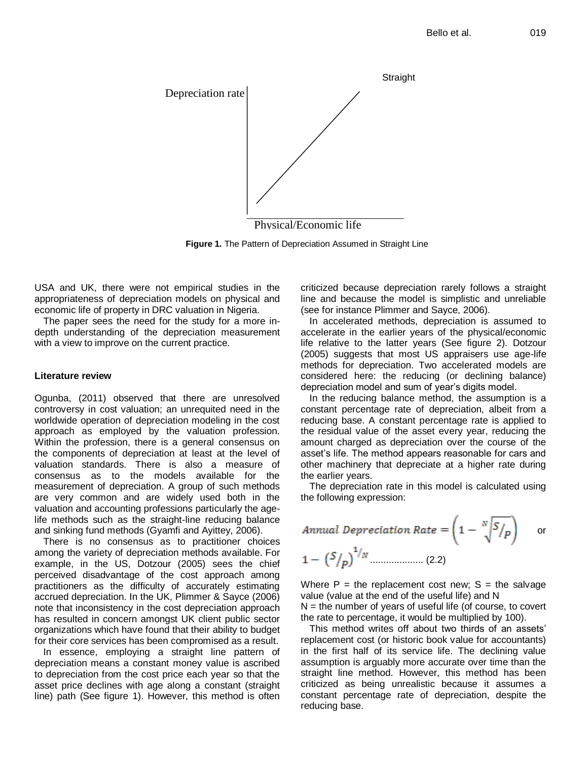

Physical/Economic life

**Figure 1.** The Pattern of Depreciation Assumed in Straight Line

USA and UK, there were not empirical studies in the appropriateness of depreciation models on physical and economic life of property in DRC valuation in Nigeria.

The paper sees the need for the study for a more indepth understanding of the depreciation measurement with a view to improve on the current practice.

## **Literature review**

Ogunba, (2011) observed that there are unresolved controversy in cost valuation; an unrequited need in the worldwide operation of depreciation modeling in the cost approach as employed by the valuation profession. Within the profession, there is a general consensus on the components of depreciation at least at the level of valuation standards. There is also a measure of consensus as to the models available for the measurement of depreciation. A group of such methods are very common and are widely used both in the valuation and accounting professions particularly the agelife methods such as the straight-line reducing balance and sinking fund methods (Gyamfi and Ayittey, 2006).

There is no consensus as to practitioner choices among the variety of depreciation methods available. For example, in the US, Dotzour (2005) sees the chief perceived disadvantage of the cost approach among practitioners as the difficulty of accurately estimating accrued depreciation. In the UK, Plimmer & Sayce (2006) note that inconsistency in the cost depreciation approach has resulted in concern amongst UK client public sector organizations which have found that their ability to budget for their core services has been compromised as a result.

In essence, employing a straight line pattern of depreciation means a constant money value is ascribed to depreciation from the cost price each year so that the asset price declines with age along a constant (straight line) path (See figure 1). However, this method is often

criticized because depreciation rarely follows a straight line and because the model is simplistic and unreliable (see for instance Plimmer and Sayce, 2006).

In accelerated methods, depreciation is assumed to accelerate in the earlier years of the physical/economic life relative to the latter years (See figure 2). Dotzour (2005) suggests that most US appraisers use age-life methods for depreciation. Two accelerated models are considered here: the reducing (or declining balance) depreciation model and sum of year's digits model.

In the reducing balance method, the assumption is a constant percentage rate of depreciation, albeit from a reducing base. A constant percentage rate is applied to the residual value of the asset every year, reducing the amount charged as depreciation over the course of the asset's life. The method appears reasonable for cars and other machinery that depreciate at a higher rate during the earlier years.

The depreciation rate in this model is calculated using the following expression:

*Annual Depreciation Rate* = 
$$
\left(1 - \frac{N\sqrt{S/p}}{p}\right)
$$
 or   
  $1 - \left(\frac{S}{p}\right)^{1/N}$  (2.2)

Where  $P =$  the replacement cost new;  $S =$  the salvage value (value at the end of the useful life) and N

 $N =$  the number of years of useful life (of course, to covert the rate to percentage, it would be multiplied by 100).

This method writes off about two thirds of an assets' replacement cost (or historic book value for accountants) in the first half of its service life. The declining value assumption is arguably more accurate over time than the straight line method. However, this method has been criticized as being unrealistic because it assumes a constant percentage rate of depreciation, despite the reducing base.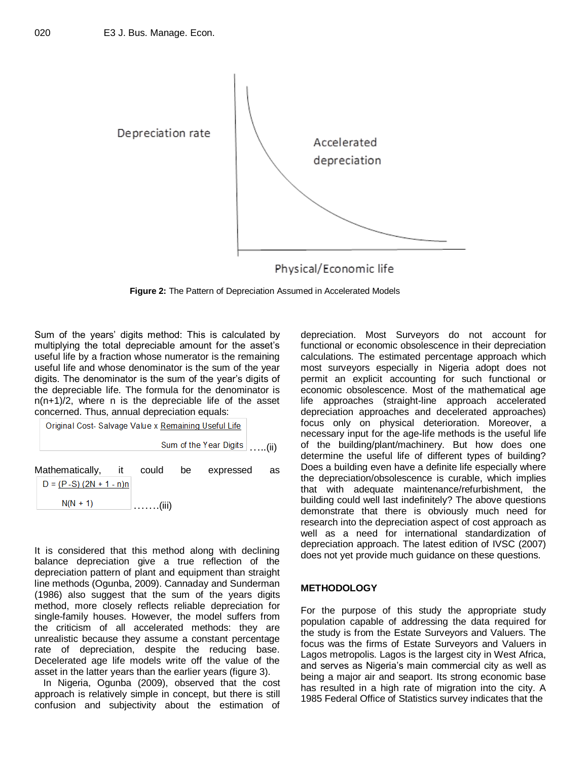

**Figure 2:** The Pattern of Depreciation Assumed in Accelerated Models

Sum of the years' digits method: This is calculated by multiplying the total depreciable amount for the asset's useful life by a fraction whose numerator is the remaining useful life and whose denominator is the sum of the year digits. The denominator is the sum of the year's digits of the depreciable life. The formula for the denominator is n(n+1)/2, where n is the depreciable life of the asset concerned. Thus, annual depreciation equals:

…..(ii) Mathematically, it could be expressed as

 $D = (P-S) (2N + 1 - n)n$  $N(N + 1)$ …….(iii)

It is considered that this method along with declining balance depreciation give a true reflection of the depreciation pattern of plant and equipment than straight line methods (Ogunba, 2009). Cannaday and Sunderman (1986) also suggest that the sum of the years digits method, more closely reflects reliable depreciation for single-family houses. However, the model suffers from the criticism of all accelerated methods: they are unrealistic because they assume a constant percentage rate of depreciation, despite the reducing base. Decelerated age life models write off the value of the asset in the latter years than the earlier years (figure 3).

In Nigeria, Ogunba (2009), observed that the cost approach is relatively simple in concept, but there is still confusion and subjectivity about the estimation of

depreciation. Most Surveyors do not account for functional or economic obsolescence in their depreciation calculations. The estimated percentage approach which most surveyors especially in Nigeria adopt does not permit an explicit accounting for such functional or economic obsolescence. Most of the mathematical age life approaches (straight-line approach accelerated depreciation approaches and decelerated approaches) focus only on physical deterioration. Moreover, a necessary input for the age-life methods is the useful life of the building/plant/machinery. But how does one determine the useful life of different types of building? Does a building even have a definite life especially where the depreciation/obsolescence is curable, which implies that with adequate maintenance/refurbishment, the building could well last indefinitely? The above questions demonstrate that there is obviously much need for research into the depreciation aspect of cost approach as well as a need for international standardization of depreciation approach. The latest edition of IVSC (2007) does not yet provide much guidance on these questions.

# **METHODOLOGY**

For the purpose of this study the appropriate study population capable of addressing the data required for the study is from the Estate Surveyors and Valuers. The focus was the firms of Estate Surveyors and Valuers in Lagos metropolis. Lagos is the largest city in West Africa, and serves as Nigeria's main commercial city as well as being a major air and seaport. Its strong economic base has resulted in a high rate of migration into the city. A 1985 Federal Office of Statistics survey indicates that the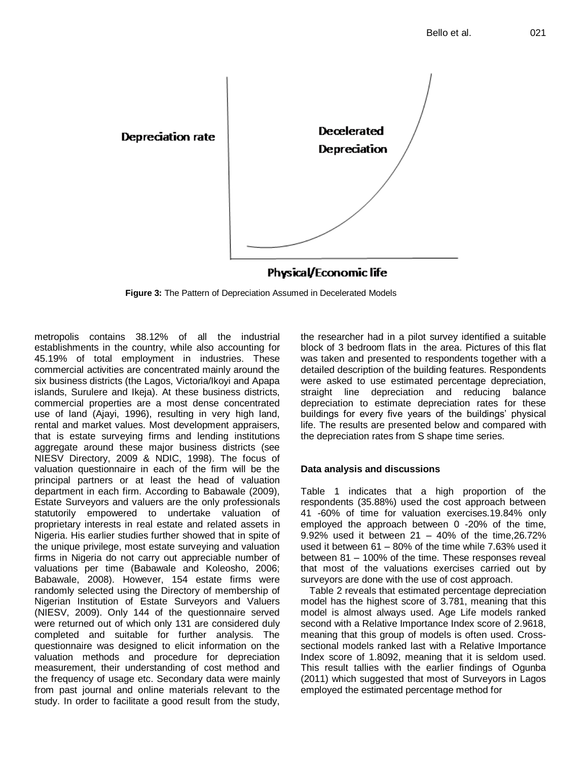

**Figure 3:** The Pattern of Depreciation Assumed in Decelerated Models

metropolis contains 38.12% of all the industrial establishments in the country, while also accounting for 45.19% of total employment in industries. These commercial activities are concentrated mainly around the six business districts (the Lagos, Victoria/Ikoyi and Apapa islands, Surulere and Ikeja). At these business districts, commercial properties are a most dense concentrated use of land (Ajayi, 1996), resulting in very high land, rental and market values. Most development appraisers, that is estate surveying firms and lending institutions aggregate around these major business districts (see NIESV Directory, 2009 & NDIC, 1998). The focus of valuation questionnaire in each of the firm will be the principal partners or at least the head of valuation department in each firm. According to Babawale (2009), Estate Surveyors and valuers are the only professionals statutorily empowered to undertake valuation of proprietary interests in real estate and related assets in Nigeria. His earlier studies further showed that in spite of the unique privilege, most estate surveying and valuation firms in Nigeria do not carry out appreciable number of valuations per time (Babawale and Koleosho, 2006; Babawale, 2008). However, 154 estate firms were randomly selected using the Directory of membership of Nigerian Institution of Estate Surveyors and Valuers (NIESV, 2009). Only 144 of the questionnaire served were returned out of which only 131 are considered duly completed and suitable for further analysis. The questionnaire was designed to elicit information on the valuation methods and procedure for depreciation measurement, their understanding of cost method and the frequency of usage etc. Secondary data were mainly from past journal and online materials relevant to the study. In order to facilitate a good result from the study,

the researcher had in a pilot survey identified a suitable block of 3 bedroom flats in the area. Pictures of this flat was taken and presented to respondents together with a detailed description of the building features. Respondents were asked to use estimated percentage depreciation, straight line depreciation and reducing balance depreciation to estimate depreciation rates for these buildings for every five years of the buildings' physical life. The results are presented below and compared with the depreciation rates from S shape time series.

# **Data analysis and discussions**

Table 1 indicates that a high proportion of the respondents (35.88%) used the cost approach between 41 -60% of time for valuation exercises.19.84% only employed the approach between 0 -20% of the time, 9.92% used it between 21 – 40% of the time,26.72% used it between 61 – 80% of the time while 7.63% used it between 81 – 100% of the time. These responses reveal that most of the valuations exercises carried out by surveyors are done with the use of cost approach.

Table 2 reveals that estimated percentage depreciation model has the highest score of 3.781, meaning that this model is almost always used. Age Life models ranked second with a Relative Importance Index score of 2.9618, meaning that this group of models is often used. Crosssectional models ranked last with a Relative Importance Index score of 1.8092, meaning that it is seldom used. This result tallies with the earlier findings of Ogunba (2011) which suggested that most of Surveyors in Lagos employed the estimated percentage method for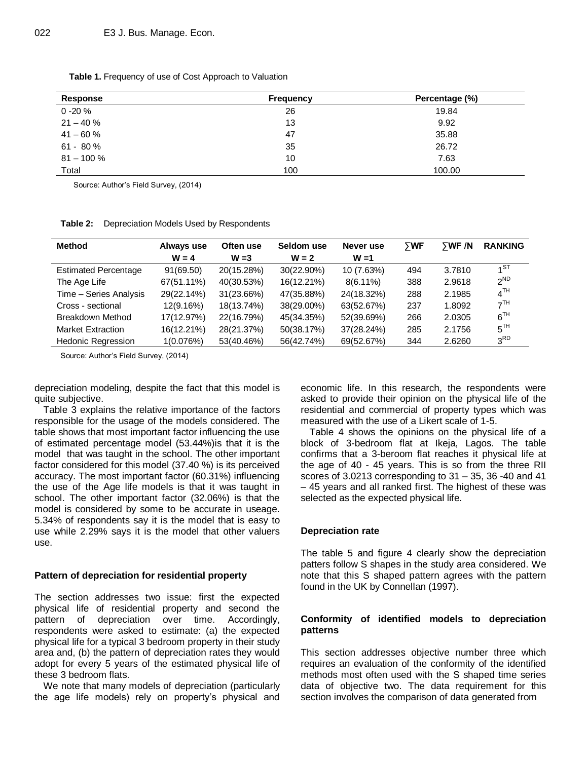| Response      | <b>Frequency</b> | Percentage (%) |
|---------------|------------------|----------------|
| $0 - 20 \%$   | 26               | 19.84          |
| $21 - 40 \%$  | 13               | 9.92           |
| $41 - 60%$    | 47               | 35.88          |
| $61 - 80%$    | 35               | 26.72          |
| $81 - 100 \%$ | 10               | 7.63           |
| Total         | 100              | 100.00         |

**Table 1.** Frequency of use of Cost Approach to Valuation

Source: Author's Field Survey, (2014)

**Table 2:** Depreciation Models Used by Respondents

| <b>Method</b>               | Always use | Often use  | Seldom use | Never use   | $\Sigma$ WF | $\Sigma$ WF /N | <b>RANKING</b>  |
|-----------------------------|------------|------------|------------|-------------|-------------|----------------|-----------------|
|                             | $W = 4$    | $W = 3$    | $W = 2$    | $W = 1$     |             |                |                 |
| <b>Estimated Percentage</b> | 91(69.50)  | 20(15.28%) | 30(22.90%) | 10 (7.63%)  | 494         | 3.7810         | $1^{ST}$        |
| The Age Life                | 67(51.11%) | 40(30.53%) | 16(12.21%) | $8(6.11\%)$ | 388         | 2.9618         | $2^{ND}$        |
| Time - Series Analysis      | 29(22.14%) | 31(23.66%) | 47(35.88%) | 24(18.32%)  | 288         | 2.1985         | 4 <sup>TH</sup> |
| Cross - sectional           | 12(9.16%)  | 18(13.74%) | 38(29.00%) | 63(52.67%)  | 237         | 1.8092         | 7 <sup>TH</sup> |
| Breakdown Method            | 17(12.97%) | 22(16.79%) | 45(34.35%) | 52(39.69%)  | 266         | 2.0305         | $6^{TH}$        |
| <b>Market Extraction</b>    | 16(12.21%) | 28(21.37%) | 50(38.17%) | 37(28.24%)  | 285         | 2.1756         | $5^{TH}$        |
| <b>Hedonic Regression</b>   | 1(0.076%)  | 53(40.46%) | 56(42.74%) | 69(52.67%)  | 344         | 2.6260         | 3 <sup>RD</sup> |

Source: Author's Field Survey, (2014)

depreciation modeling, despite the fact that this model is quite subjective.

Table 3 explains the relative importance of the factors responsible for the usage of the models considered. The table shows that most important factor influencing the use of estimated percentage model (53.44%)is that it is the model that was taught in the school. The other important factor considered for this model (37.40 %) is its perceived accuracy. The most important factor (60.31%) influencing the use of the Age life models is that it was taught in school. The other important factor (32.06%) is that the model is considered by some to be accurate in useage. 5.34% of respondents say it is the model that is easy to use while 2.29% says it is the model that other valuers use.

## **Pattern of depreciation for residential property**

The section addresses two issue: first the expected physical life of residential property and second the pattern of depreciation over time. Accordingly, respondents were asked to estimate: (a) the expected physical life for a typical 3 bedroom property in their study area and, (b) the pattern of depreciation rates they would adopt for every 5 years of the estimated physical life of these 3 bedroom flats.

We note that many models of depreciation (particularly the age life models) rely on property's physical and economic life. In this research, the respondents were asked to provide their opinion on the physical life of the residential and commercial of property types which was measured with the use of a Likert scale of 1-5.

Table 4 shows the opinions on the physical life of a block of 3-bedroom flat at Ikeja, Lagos. The table confirms that a 3-beroom flat reaches it physical life at the age of 40 - 45 years. This is so from the three RII scores of 3.0213 corresponding to 31 – 35, 36 -40 and 41 – 45 years and all ranked first. The highest of these was selected as the expected physical life.

#### **Depreciation rate**

The table 5 and figure 4 clearly show the depreciation patters follow S shapes in the study area considered. We note that this S shaped pattern agrees with the pattern found in the UK by Connellan (1997).

## **Conformity of identified models to depreciation patterns**

This section addresses objective number three which requires an evaluation of the conformity of the identified methods most often used with the S shaped time series data of objective two. The data requirement for this section involves the comparison of data generated from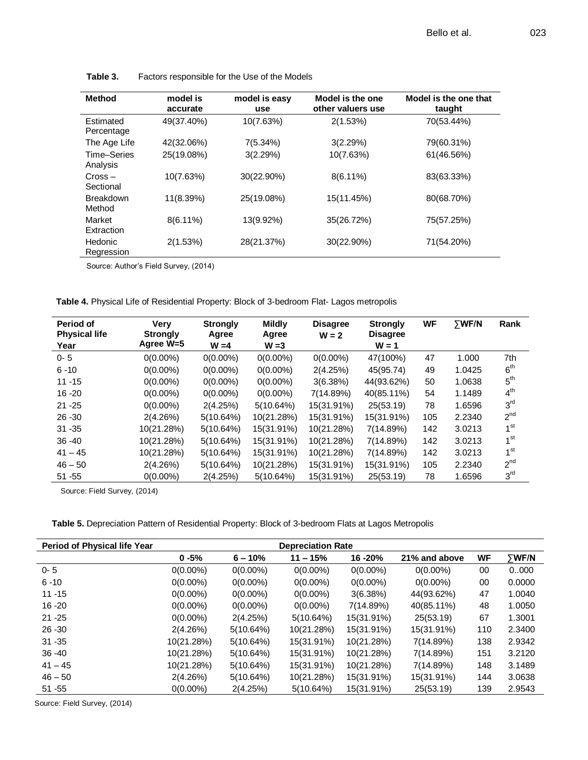| <b>Method</b>              | model is<br>accurate | model is easy<br>use | Model is the one<br>other valuers use | Model is the one that<br>taught |
|----------------------------|----------------------|----------------------|---------------------------------------|---------------------------------|
| Estimated<br>Percentage    | 49(37.40%)           | 10(7.63%)            | 2(1.53%)                              | 70(53.44%)                      |
| The Age Life               | 42(32.06%)           | 7(5.34%)             | 3(2.29%)                              | 79(60.31%)                      |
| Time-Series<br>Analysis    | 25(19.08%)           | 3(2.29%)             | 10(7.63%)                             | 61(46.56%)                      |
| $Cross -$<br>Sectional     | 10(7.63%)            | 30(22.90%)           | $8(6.11\%)$                           | 83(63.33%)                      |
| <b>Breakdown</b><br>Method | 11(8.39%)            | 25(19.08%)           | 15(11.45%)                            | 80(68.70%)                      |
| Market<br>Extraction       | $8(6.11\%)$          | 13(9.92%)            | 35(26.72%)                            | 75(57.25%)                      |
| Hedonic<br>Regression      | 2(1.53%)             | 28(21.37%)           | 30(22.90%)                            | 71(54.20%)                      |

| Table 3. | Factors responsible for the Use of the Models |
|----------|-----------------------------------------------|
|----------|-----------------------------------------------|

Source: Author's Field Survey, (2014)

| Table 4. Physical Life of Residential Property: Block of 3-bedroom Flat- Lagos metropolis |
|-------------------------------------------------------------------------------------------|
|-------------------------------------------------------------------------------------------|

| Period of<br><b>Physical life</b><br>Year | Very<br><b>Strongly</b><br>Agree W=5 | <b>Strongly</b><br>Agree<br>$W = 4$ | <b>Mildly</b><br>Agree<br>$W = 3$ | <b>Disagree</b><br>$W = 2$ | <b>Strongly</b><br><b>Disagree</b><br>$W = 1$ | <b>WF</b> | <b>TWF/N</b> | Rank            |
|-------------------------------------------|--------------------------------------|-------------------------------------|-----------------------------------|----------------------------|-----------------------------------------------|-----------|--------------|-----------------|
| $0 - 5$                                   | $0(0.00\%)$                          | $0(0.00\%)$                         | $0(0.00\%)$                       | $0(0.00\%)$                | 47(100%)                                      | 47        | 1.000        | 7th             |
| $6 - 10$                                  | $0(0.00\%)$                          | $0(0.00\%)$                         | $0(0.00\%)$                       | 2(4.25%)                   | 45(95.74)                                     | 49        | 1.0425       | 6 <sup>th</sup> |
| $11 - 15$                                 | $0(0.00\%)$                          | $0(0.00\%)$                         | $0(0.00\%)$                       | 3(6.38%)                   | 44(93.62%)                                    | 50        | 1.0638       | 5 <sup>th</sup> |
| $16 - 20$                                 | $0(0.00\%)$                          | $0(0.00\%)$                         | $0(0.00\%)$                       | 7(14.89%)                  | 40(85.11%)                                    | 54        | 1.1489       | $4^{\text{th}}$ |
| $21 - 25$                                 | $0(0.00\%)$                          | 2(4.25%)                            | 5(10.64%)                         | 15(31.91%)                 | 25(53.19)                                     | 78        | 1.6596       | 3 <sup>rd</sup> |
| $26 - 30$                                 | 2(4.26%)                             | 5(10.64%)                           | 10(21.28%)                        | 15(31.91%)                 | 15(31.91%)                                    | 105       | 2.2340       | 2 <sup>nd</sup> |
| $31 - 35$                                 | 10(21.28%)                           | 5(10.64%)                           | 15(31.91%)                        | 10(21.28%)                 | 7(14.89%)                                     | 142       | 3.0213       | 1 <sup>st</sup> |
| $36 - 40$                                 | 10(21.28%)                           | 5(10.64%)                           | 15(31.91%)                        | 10(21.28%)                 | 7(14.89%)                                     | 142       | 3.0213       | 1 <sup>st</sup> |
| $41 - 45$                                 | 10(21.28%)                           | 5(10.64%)                           | 15(31.91%)                        | 10(21.28%)                 | 7(14.89%)                                     | 142       | 3.0213       | 1 <sup>st</sup> |
| $46 - 50$                                 | 2(4.26%)                             | 5(10.64%)                           | 10(21.28%)                        | 15(31.91%)                 | 15(31.91%)                                    | 105       | 2.2340       | 2 <sup>nd</sup> |
| $51 - 55$                                 | $0(0.00\%)$                          | 2(4.25%)                            | 5(10.64%)                         | 15(31.91%)                 | 25(53.19)                                     | 78        | 1.6596       | 3 <sup>rd</sup> |

Source: Field Survey, (2014)

**Table 5.** Depreciation Pattern of Residential Property: Block of 3-bedroom Flats at Lagos Metropolis

| <b>Period of Physical life Year</b> | <b>Depreciation Rate</b> |             |             |             |               |           |        |
|-------------------------------------|--------------------------|-------------|-------------|-------------|---------------|-----------|--------|
|                                     | $0 - 5%$                 | $6 - 10%$   | $11 - 15%$  | 16 - 20%    | 21% and above | <b>WF</b> | ∑WF/N  |
| $0 - 5$                             | $0(0.00\%)$              | $0(0.00\%)$ | $0(0.00\%)$ | $0(0.00\%)$ | $0(0.00\%)$   | 00        | 0.000  |
| $6 - 10$                            | $0(0.00\%)$              | $0(0.00\%)$ | $0(0.00\%)$ | $0(0.00\%)$ | $0(0.00\%)$   | 00        | 0.0000 |
| $11 - 15$                           | $0(0.00\%)$              | $0(0.00\%)$ | $0(0.00\%)$ | 3(6.38%)    | 44(93.62%)    | 47        | 1.0040 |
| $16 - 20$                           | $0(0.00\%)$              | $0(0.00\%)$ | $0(0.00\%)$ | 7(14.89%)   | 40(85.11%)    | 48        | 1.0050 |
| $21 - 25$                           | $0(0.00\%)$              | 2(4.25%)    | 5(10.64%)   | 15(31.91%)  | 25(53.19)     | 67        | 1.3001 |
| $26 - 30$                           | 2(4.26%)                 | 5(10.64%)   | 10(21.28%)  | 15(31.91%)  | 15(31.91%)    | 110       | 2.3400 |
| $31 - 35$                           | 10(21.28%)               | 5(10.64%)   | 15(31.91%)  | 10(21.28%)  | 7(14.89%)     | 138       | 2.9342 |
| $36 - 40$                           | 10(21.28%)               | 5(10.64%)   | 15(31.91%)  | 10(21.28%)  | 7(14.89%)     | 151       | 3.2120 |
| $41 - 45$                           | 10(21.28%)               | 5(10.64%)   | 15(31.91%)  | 10(21.28%)  | 7(14.89%)     | 148       | 3.1489 |
| $46 - 50$                           | 2(4.26%)                 | 5(10.64%)   | 10(21.28%)  | 15(31.91%)  | 15(31.91%)    | 144       | 3.0638 |
| $51 - 55$                           | $0(0.00\%)$              | 2(4.25%)    | 5(10.64%)   | 15(31.91%)  | 25(53.19)     | 139       | 2.9543 |

Source: Field Survey, (2014)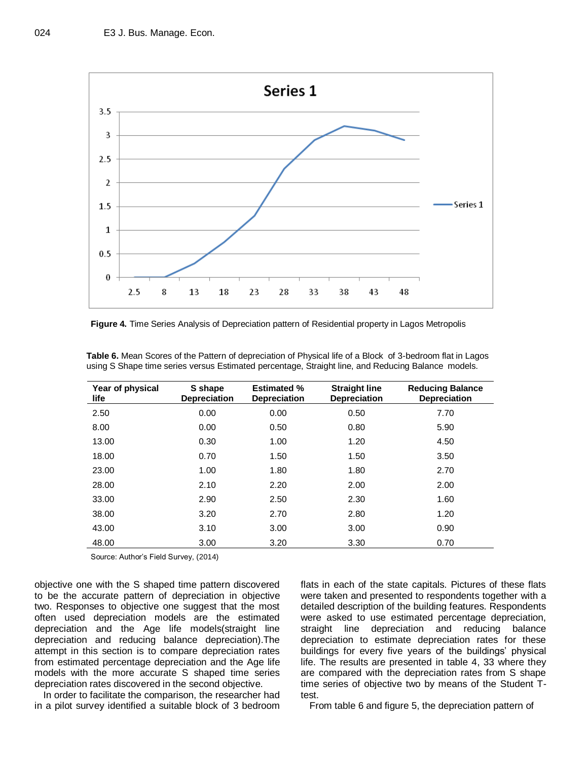

**Figure 4.** Time Series Analysis of Depreciation pattern of Residential property in Lagos Metropolis

| Year of physical<br>life | S shape<br><b>Depreciation</b> | <b>Estimated %</b><br><b>Depreciation</b> | <b>Straight line</b><br><b>Depreciation</b> | <b>Reducing Balance</b><br><b>Depreciation</b> |
|--------------------------|--------------------------------|-------------------------------------------|---------------------------------------------|------------------------------------------------|
| 2.50                     | 0.00                           | 0.00                                      | 0.50                                        | 7.70                                           |
| 8.00                     | 0.00                           | 0.50                                      | 0.80                                        | 5.90                                           |
| 13.00                    | 0.30                           | 1.00                                      | 1.20                                        | 4.50                                           |
| 18.00                    | 0.70                           | 1.50                                      | 1.50                                        | 3.50                                           |
| 23.00                    | 1.00                           | 1.80                                      | 1.80                                        | 2.70                                           |
| 28.00                    | 2.10                           | 2.20                                      | 2.00                                        | 2.00                                           |
| 33.00                    | 2.90                           | 2.50                                      | 2.30                                        | 1.60                                           |
| 38.00                    | 3.20                           | 2.70                                      | 2.80                                        | 1.20                                           |
| 43.00                    | 3.10                           | 3.00                                      | 3.00                                        | 0.90                                           |
| 48.00                    | 3.00                           | 3.20                                      | 3.30                                        | 0.70                                           |

**Table 6.** Mean Scores of the Pattern of depreciation of Physical life of a Block of 3-bedroom flat in Lagos using S Shape time series versus Estimated percentage, Straight line, and Reducing Balance models.

Source: Author's Field Survey, (2014)

objective one with the S shaped time pattern discovered to be the accurate pattern of depreciation in objective two. Responses to objective one suggest that the most often used depreciation models are the estimated depreciation and the Age life models(straight line depreciation and reducing balance depreciation).The attempt in this section is to compare depreciation rates from estimated percentage depreciation and the Age life models with the more accurate S shaped time series depreciation rates discovered in the second objective.

In order to facilitate the comparison, the researcher had in a pilot survey identified a suitable block of 3 bedroom

flats in each of the state capitals. Pictures of these flats were taken and presented to respondents together with a detailed description of the building features. Respondents were asked to use estimated percentage depreciation, straight line depreciation and reducing balance depreciation to estimate depreciation rates for these buildings for every five years of the buildings' physical life. The results are presented in table 4, 33 where they are compared with the depreciation rates from S shape time series of objective two by means of the Student Ttest.

From table 6 and figure 5, the depreciation pattern of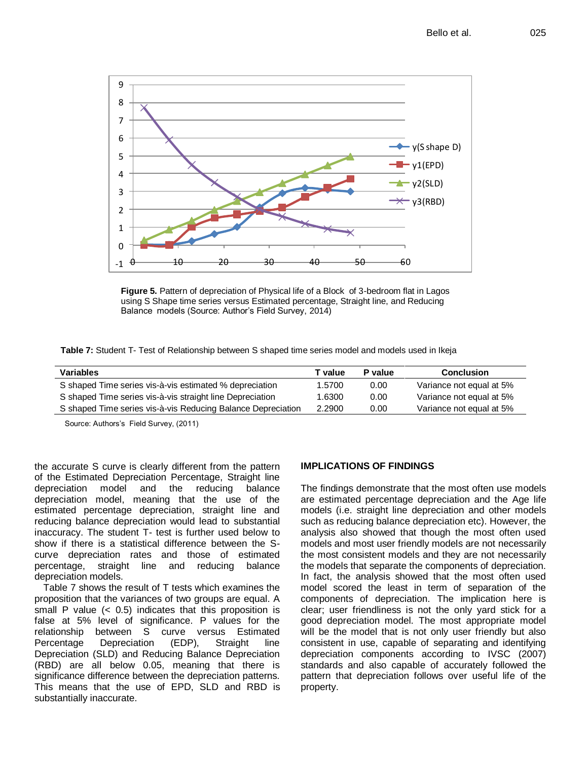

**Figure 5.** Pattern of depreciation of Physical life of a Block of 3-bedroom flat in Lagos using S Shape time series versus Estimated percentage, Straight line, and Reducing Balance models (Source: Author's Field Survey, 2014)

**Table 7:** Student T- Test of Relationship between S shaped time series model and models used in Ikeja

| Variables                                                    | T value | <b>P</b> value | <b>Conclusion</b>        |
|--------------------------------------------------------------|---------|----------------|--------------------------|
| S shaped Time series vis-à-vis estimated % depreciation      | 1.5700  | 0.00           | Variance not equal at 5% |
| S shaped Time series vis-à-vis straight line Depreciation    | 1.6300  | 0.00           | Variance not equal at 5% |
| S shaped Time series vis-à-vis Reducing Balance Depreciation | 2.2900  | 0.00           | Variance not equal at 5% |

Source: Authors's Field Survey, (2011)

the accurate S curve is clearly different from the pattern of the Estimated Depreciation Percentage, Straight line depreciation model and the reducing balance depreciation model, meaning that the use of the estimated percentage depreciation, straight line and reducing balance depreciation would lead to substantial inaccuracy. The student T- test is further used below to show if there is a statistical difference between the Scurve depreciation rates and those of estimated percentage, straight line and reducing balance depreciation models.

Table 7 shows the result of T tests which examines the proposition that the variances of two groups are equal. A small P value  $( $0.5$ ) indicates that this proposition is$ false at 5% level of significance. P values for the relationship between S curve versus Estimated Percentage Depreciation (EDP), Straight line Depreciation (SLD) and Reducing Balance Depreciation (RBD) are all below 0.05, meaning that there is significance difference between the depreciation patterns. This means that the use of EPD, SLD and RBD is substantially inaccurate.

# **IMPLICATIONS OF FINDINGS**

The findings demonstrate that the most often use models are estimated percentage depreciation and the Age life models (i.e. straight line depreciation and other models such as reducing balance depreciation etc). However, the analysis also showed that though the most often used models and most user friendly models are not necessarily the most consistent models and they are not necessarily the models that separate the components of depreciation. In fact, the analysis showed that the most often used model scored the least in term of separation of the components of depreciation. The implication here is clear; user friendliness is not the only yard stick for a good depreciation model. The most appropriate model will be the model that is not only user friendly but also consistent in use, capable of separating and identifying depreciation components according to IVSC (2007) standards and also capable of accurately followed the pattern that depreciation follows over useful life of the property.